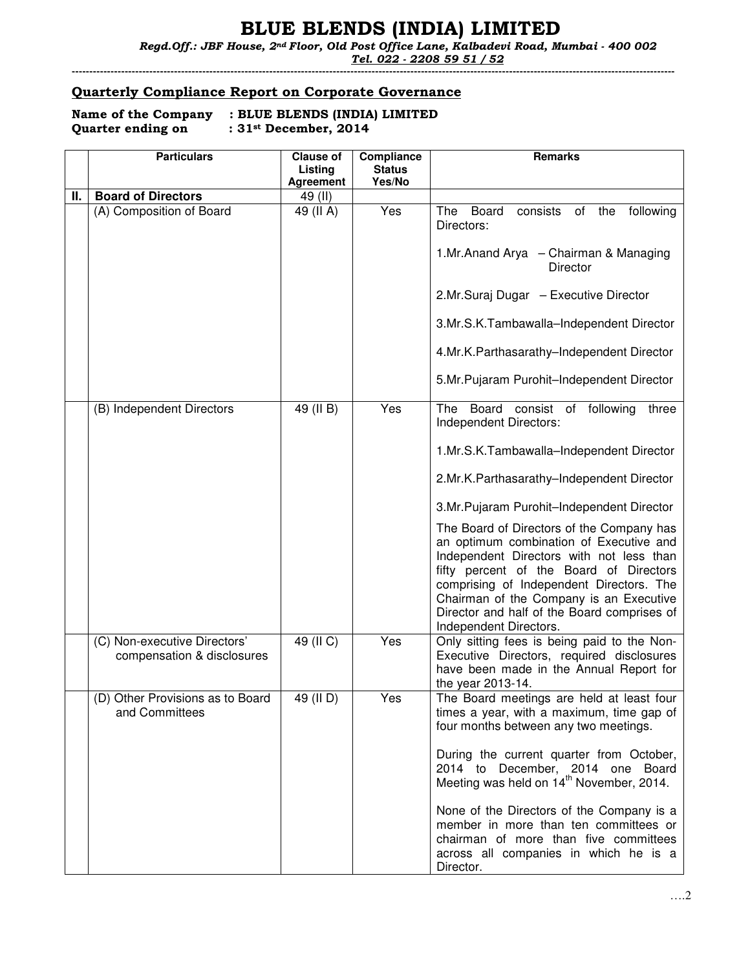# BLUE BLENDS (INDIA) LIMITED

 Regd.Off.: JBF House, 2nd Floor, Old Post Office Lane, Kalbadevi Road, Mumbai - 400 002 Tel. 022 - 2208 59 51 / 52

---------------------------------------------------------------------------------------------------------------------------------------------------------------------------

#### Quarterly Compliance Report on Corporate Governance

| Name of the Company | : BLUE BLENDS (INDIA) LIMITED |
|---------------------|-------------------------------|
| Quarter ending on   | : $31st$ December, 2014       |

|    | <b>Particulars</b>                                         | <b>Clause of</b><br>Listing<br><b>Agreement</b> | Compliance<br><b>Status</b><br>Yes/No | <b>Remarks</b>                                                                                                                                                                                                                                                                                                                              |
|----|------------------------------------------------------------|-------------------------------------------------|---------------------------------------|---------------------------------------------------------------------------------------------------------------------------------------------------------------------------------------------------------------------------------------------------------------------------------------------------------------------------------------------|
| Ш. | <b>Board of Directors</b>                                  | 49 (II)                                         |                                       |                                                                                                                                                                                                                                                                                                                                             |
|    | (A) Composition of Board                                   | 49 (II A)                                       | Yes                                   | The<br>Board<br>consists<br>of<br>the<br>following<br>Directors:                                                                                                                                                                                                                                                                            |
|    |                                                            |                                                 |                                       | 1.Mr.Anand Arya - Chairman & Managing<br>Director                                                                                                                                                                                                                                                                                           |
|    |                                                            |                                                 |                                       | 2.Mr.Suraj Dugar - Executive Director                                                                                                                                                                                                                                                                                                       |
|    |                                                            |                                                 |                                       | 3.Mr.S.K.Tambawalla-Independent Director                                                                                                                                                                                                                                                                                                    |
|    |                                                            |                                                 |                                       | 4.Mr.K.Parthasarathy-Independent Director                                                                                                                                                                                                                                                                                                   |
|    |                                                            |                                                 |                                       | 5.Mr.Pujaram Purohit-Independent Director                                                                                                                                                                                                                                                                                                   |
|    | (B) Independent Directors                                  | 49 (II B)                                       | Yes                                   | The Board consist of following<br>three<br>Independent Directors:                                                                                                                                                                                                                                                                           |
|    |                                                            |                                                 |                                       | 1.Mr.S.K.Tambawalla-Independent Director                                                                                                                                                                                                                                                                                                    |
|    |                                                            |                                                 |                                       | 2.Mr.K.Parthasarathy-Independent Director                                                                                                                                                                                                                                                                                                   |
|    |                                                            |                                                 |                                       | 3.Mr.Pujaram Purohit-Independent Director                                                                                                                                                                                                                                                                                                   |
|    |                                                            |                                                 |                                       | The Board of Directors of the Company has<br>an optimum combination of Executive and<br>Independent Directors with not less than<br>fifty percent of the Board of Directors<br>comprising of Independent Directors. The<br>Chairman of the Company is an Executive<br>Director and half of the Board comprises of<br>Independent Directors. |
|    | (C) Non-executive Directors'<br>compensation & disclosures | 49 (II C)                                       | Yes                                   | Only sitting fees is being paid to the Non-<br>Executive Directors, required disclosures<br>have been made in the Annual Report for<br>the year 2013-14.                                                                                                                                                                                    |
|    | (D) Other Provisions as to Board<br>and Committees         | 49 (II D)                                       | Yes                                   | The Board meetings are held at least four<br>times a year, with a maximum, time gap of<br>four months between any two meetings.                                                                                                                                                                                                             |
|    |                                                            |                                                 |                                       | During the current quarter from October,<br>2014 to December, 2014 one Board<br>Meeting was held on 14 <sup>th</sup> November, 2014.                                                                                                                                                                                                        |
|    |                                                            |                                                 |                                       | None of the Directors of the Company is a<br>member in more than ten committees or<br>chairman of more than five committees<br>across all companies in which he is a<br>Director.                                                                                                                                                           |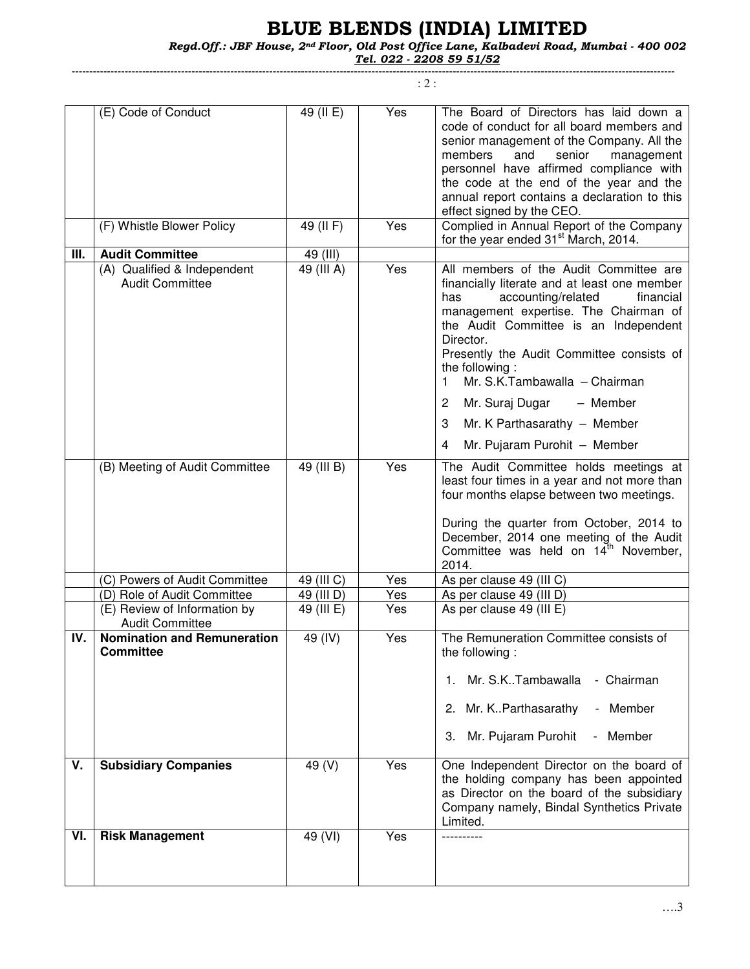# BLUE BLENDS (INDIA) LIMITED

Regd.Off.: JBF House, 2nd Floor, Old Post Office Lane, Kalbadevi Road, Mumbai - 400 002

Tel. 022 - 2208 59 51/52

---------------------------------------------------------------------------------------------------------------------------------------------------------------------------

: 2 :

|      | (E) Code of Conduct                                    | 49 (II E)  | Yes | The Board of Directors has laid down a<br>code of conduct for all board members and<br>senior management of the Company. All the<br>and<br>members<br>senior<br>management<br>personnel have affirmed compliance with<br>the code at the end of the year and the<br>annual report contains a declaration to this<br>effect signed by the CEO.                                                                                                                    |
|------|--------------------------------------------------------|------------|-----|------------------------------------------------------------------------------------------------------------------------------------------------------------------------------------------------------------------------------------------------------------------------------------------------------------------------------------------------------------------------------------------------------------------------------------------------------------------|
|      | (F) Whistle Blower Policy                              | 49 (II F)  | Yes | Complied in Annual Report of the Company<br>for the year ended 31 <sup>st</sup> March, 2014.                                                                                                                                                                                                                                                                                                                                                                     |
| III. | <b>Audit Committee</b>                                 | 49 (III)   |     |                                                                                                                                                                                                                                                                                                                                                                                                                                                                  |
|      | (A) Qualified & Independent<br><b>Audit Committee</b>  | 49 (III A) | Yes | All members of the Audit Committee are<br>financially literate and at least one member<br>accounting/related<br>financial<br>has<br>management expertise. The Chairman of<br>the Audit Committee is an Independent<br>Director.<br>Presently the Audit Committee consists of<br>the following:<br>Mr. S.K.Tambawalla - Chairman<br>1.<br>Mr. Suraj Dugar<br>$\overline{2}$<br>- Member<br>Mr. K Parthasarathy - Member<br>3<br>Mr. Pujaram Purohit - Member<br>4 |
|      | (B) Meeting of Audit Committee                         | 49 (III B) | Yes | The Audit Committee holds meetings at<br>least four times in a year and not more than<br>four months elapse between two meetings.<br>During the quarter from October, 2014 to<br>December, 2014 one meeting of the Audit<br>Committee was held on 14 <sup>th</sup> November,<br>2014.                                                                                                                                                                            |
|      | (C) Powers of Audit Committee                          | 49 (III C) | Yes | As per clause 49 (III C)                                                                                                                                                                                                                                                                                                                                                                                                                                         |
|      | (D) Role of Audit Committee                            | 49 (III D) | Yes | As per clause 49 (III D)                                                                                                                                                                                                                                                                                                                                                                                                                                         |
|      | (E) Review of Information by                           | 49 (III E) | Yes | As per clause 49 (III E)                                                                                                                                                                                                                                                                                                                                                                                                                                         |
|      | <b>Audit Committee</b>                                 |            |     |                                                                                                                                                                                                                                                                                                                                                                                                                                                                  |
| IV.  | <b>Nomination and Remuneration</b><br><b>Committee</b> | 49 (IV)    | Yes | The Remuneration Committee consists of<br>the following:<br>Mr. S.K. Tambawalla<br>- Chairman<br>Mr. K. Parthasarathy<br>Member<br>2.<br>$\overline{\phantom{0}}$<br>Mr. Pujaram Purohit<br>Member<br>З.<br>$\overline{\phantom{a}}$                                                                                                                                                                                                                             |
| V.   | <b>Subsidiary Companies</b>                            | 49 (V)     | Yes | One Independent Director on the board of<br>the holding company has been appointed<br>as Director on the board of the subsidiary<br>Company namely, Bindal Synthetics Private<br>Limited.                                                                                                                                                                                                                                                                        |
| VI.  | <b>Risk Management</b>                                 | 49 (VI)    | Yes |                                                                                                                                                                                                                                                                                                                                                                                                                                                                  |